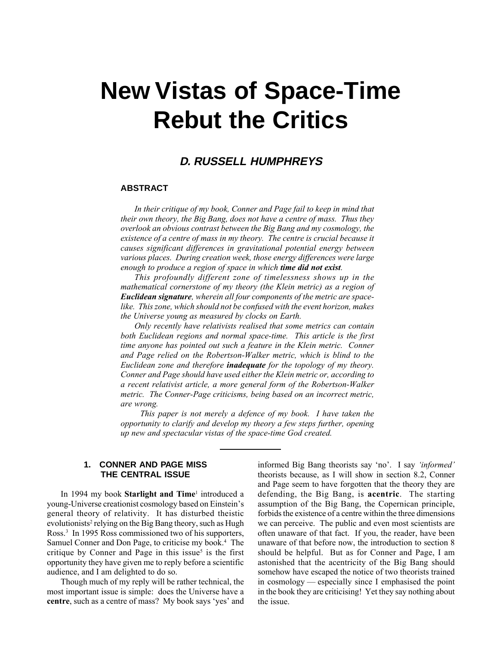# **New Vistas of Space-Time Rebut the Critics**

# **D. RUSSELL HUMPHREYS**

#### **ABSTRACT**

In their critique of my book, Conner and Page fail to keep in mind that their own theory, the Big Bang, does not have a centre of mass. Thus they overlook an obvious contrast between the Big Bang and my cosmology, the existence of a centre of mass in my theory. The centre is crucial because it causes significant differences in gravitational potential energy between various places. During creation week, those energy differences were large enough to produce a region of space in which **time did not exist**.

This profoundly different zone of timelessness shows up in the mathematical cornerstone of my theory (the Klein metric) as a region of Euclidean signature, wherein all four components of the metric are spacelike. This zone, which should not be confused with the event horizon, makes the Universe young as measured by clocks on Earth.

Only recently have relativists realised that some metrics can contain both Euclidean regions and normal space-time. This article is the first time anyone has pointed out such a feature in the Klein metric. Conner and Page relied on the Robertson-Walker metric, which is blind to the Euclidean zone and therefore **inadequate** for the topology of my theory. Conner and Page should have used either the Klein metric or, according to a recent relativist article, a more general form of the Robertson-Walker metric. The Conner-Page criticisms, being based on an incorrect metric, are wrong.

This paper is not merely a defence of my book. I have taken the opportunity to clarify and develop my theory a few steps further, opening up new and spectacular vistas of the space-time God created.

### **1. CONNER AND PAGE MISS THE CENTRAL ISSUE**

In 1994 my book **Starlight and Time**<sup>1</sup> introduced a young-Universe creationist cosmology based on Einstein's general theory of relativity. It has disturbed theistic  $\epsilon$  evolutionists<sup>2</sup> relying on the Big Bang theory, such as Hugh Ross.3 In 1995 Ross commissioned two of his supporters, Samuel Conner and Don Page, to criticise my book.<sup>4</sup> The critique by Conner and Page in this issue<sup>5</sup> is the first opportunity they have given me to reply before a scientific audience, and I am delighted to do so.

Though much of my reply will be rather technical, the most important issue is simple: does the Universe have a centre, such as a centre of mass? My book says 'yes' and informed Big Bang theorists say 'no'. I say 'informed' theorists because, as I will show in section 8.2, Conner and Page seem to have forgotten that the theory they are defending, the Big Bang, is acentric. The starting assumption of the Big Bang, the Copernican principle, forbids the existence of a centre within the three dimensions we can perceive. The public and even most scientists are often unaware of that fact. If you, the reader, have been unaware of that before now, the introduction to section 8 should be helpful. But as for Conner and Page, I am astonished that the acentricity of the Big Bang should somehow have escaped the notice of two theorists trained in cosmology  $-$  especially since I emphasised the point in the book they are criticising! Yet they say nothing about the issue.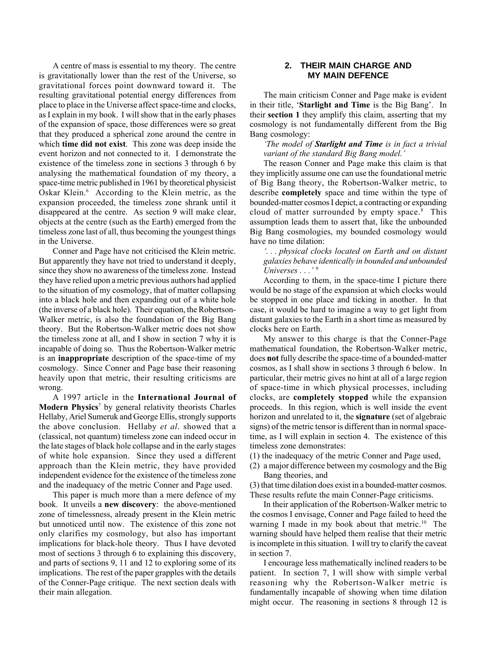A centre of mass is essential to my theory. The centre is gravitationally lower than the rest of the Universe, so gravitational forces point downward toward it. The resulting gravitational potential energy differences from place to place in the Universe affect space-time and clocks, as I explain in my book. I will show that in the early phases of the expansion of space, those differences were so great that they produced a spherical zone around the centre in which **time did not exist**. This zone was deep inside the event horizon and not connected to it. I demonstrate the existence of the timeless zone in sections 3 through 6 by analysing the mathematical foundation of my theory, a space-time metric published in 1961 by theoretical physicist  $\overrightarrow{O}$ skar Klein.<sup>6</sup> According to the Klein metric, as the expansion proceeded, the timeless zone shrank until it disappeared at the centre. As section 9 will make clear, objects at the centre (such as the Earth) emerged from the timeless zone last of all, thus becoming the youngest things in the Universe.

Conner and Page have not criticised the Klein metric. But apparently they have not tried to understand it deeply, since they show no awareness of the timeless zone. Instead they have relied upon a metric previous authors had applied to the situation of my cosmology, that of matter collapsing into a black hole and then expanding out of a white hole (the inverse of a black hole). Their equation, the Robertson-Walker metric, is also the foundation of the Big Bang theory. But the Robertson-Walker metric does not show the timeless zone at all, and I show in section 7 why it is incapable of doing so. Thus the Robertson-Walker metric is an inappropriate description of the space-time of my cosmology. Since Conner and Page base their reasoning heavily upon that metric, their resulting criticisms are wrong.

A 1997 article in the International Journal of Modern Physics<sup>7</sup> by general relativity theorists Charles Hellaby, Ariel Sumeruk and George Ellis, strongly supports the above conclusion. Hellaby et al. showed that a (classical, not quantum) timeless zone can indeed occur in the late stages of black hole collapse and in the early stages of white hole expansion. Since they used a different approach than the Klein metric, they have provided independent evidence for the existence of the timeless zone and the inadequacy of the metric Conner and Page used.

This paper is much more than a mere defence of my book. It unveils a new discovery: the above-mentioned zone of timelessness, already present in the Klein metric but unnoticed until now. The existence of this zone not only clarifies my cosmology, but also has important implications for black-hole theory. Thus I have devoted most of sections 3 through 6 to explaining this discovery, and parts of sections 9, 11 and 12 to exploring some of its implications. The rest of the paper grapples with the details of the Conner-Page critique. The next section deals with their main allegation.

## **2. THEIR MAIN CHARGE AND MY MAIN DEFENCE**

The main criticism Conner and Page make is evident in their title, 'Starlight and Time is the Big Bang'. In their section 1 they amplify this claim, asserting that my cosmology is not fundamentally different from the Big Bang cosmology:

#### The model of Starlight and Time is in fact a trivial variant of the standard Big Bang model.'

The reason Conner and Page make this claim is that they implicitly assume one can use the foundational metric of Big Bang theory, the Robertson-Walker metric, to describe completely space and time within the type of bounded-matter cosmos I depict, a contracting or expanding cloud of matter surrounded by empty space. $\frac{8}{3}$  This assumption leads them to assert that, like the unbounded Big Bang cosmologies, my bounded cosmology would have no time dilation:

ë. . . physical clocks located on Earth and on distant galaxies behave identically in bounded and unbounded Universes  $\ldots$ <sup>9</sup>

According to them, in the space-time I picture there would be no stage of the expansion at which clocks would be stopped in one place and ticking in another. In that case, it would be hard to imagine a way to get light from distant galaxies to the Earth in a short time as measured by clocks here on Earth.

My answer to this charge is that the Conner-Page mathematical foundation, the Robertson-Walker metric, does not fully describe the space-time of a bounded-matter cosmos, as I shall show in sections 3 through 6 below. In particular, their metric gives no hint at all of a large region of space-time in which physical processes, including clocks, are completely stopped while the expansion proceeds. In this region, which is well inside the event horizon and unrelated to it, the **signature** (set of algebraic signs) of the metric tensor is different than in normal spacetime, as I will explain in section 4. The existence of this timeless zone demonstrates:

- (1) the inadequacy of the metric Conner and Page used,
- (2) a major difference between my cosmology and the Big Bang theories, and

(3) that time dilation does exist in a bounded-matter cosmos. These results refute the main Conner-Page criticisms.

In their application of the Robertson-Walker metric to the cosmos I envisage, Conner and Page failed to heed the warning I made in my book about that metric.<sup>10</sup> The warning should have helped them realise that their metric is incomplete in this situation. I will try to clarify the caveat in section 7.

I encourage less mathematically inclined readers to be patient. In section 7, I will show with simple verbal reasoning why the Robertson-Walker metric is fundamentally incapable of showing when time dilation might occur. The reasoning in sections 8 through 12 is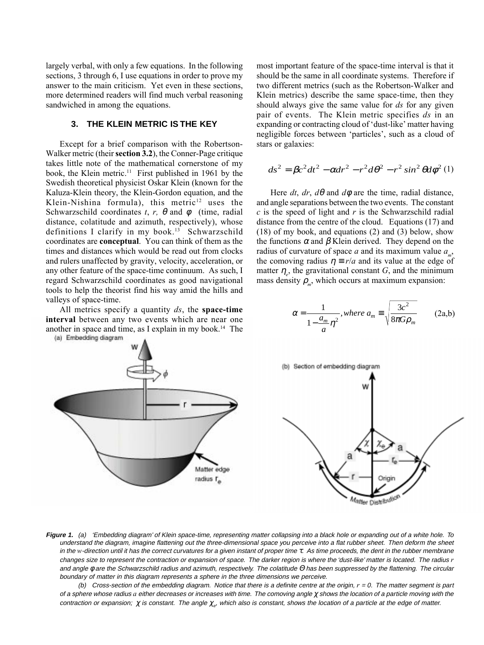largely verbal, with only a few equations. In the following sections, 3 through 6, I use equations in order to prove my answer to the main criticism. Yet even in these sections, more determined readers will find much verbal reasoning sandwiched in among the equations.

#### **3. THE KLEIN METRIC IS THE KEY**

Except for a brief comparison with the Robertson-Walker metric (their section 3.2), the Conner-Page critique takes little note of the mathematical cornerstone of my book, the Klein metric.<sup>11</sup> First published in 1961 by the Swedish theoretical physicist Oskar Klein (known for the Kaluza-Klein theory, the Klein-Gordon equation, and the Klein-Nishina formula), this metric<sup>12</sup> uses the Schwarzschild coordinates t, r,  $\theta$  and  $\phi$  (time, radial distance, colatitude and azimuth, respectively), whose definitions I clarify in my book.<sup>13</sup> Schwarzschild coordinates are conceptual. You can think of them as the times and distances which would be read out from clocks and rulers unaffected by gravity, velocity, acceleration, or any other feature of the space-time continuum. As such, I regard Schwarzschild coordinates as good navigational tools to help the theorist find his way amid the hills and valleys of space-time.

All metrics specify a quantity  $ds$ , the space-time interval between any two events which are near one another in space and time, as I explain in my book.<sup>14</sup> The (a) Embedding diagram

most important feature of the space-time interval is that it should be the same in all coordinate systems. Therefore if two different metrics (such as the Robertson-Walker and Klein metrics) describe the same space-time, then they should always give the same value for ds for any given pair of events. The Klein metric specifies ds in an expanding or contracting cloud of 'dust-like' matter having negligible forces between 'particles', such as a cloud of stars or galaxies:

$$
ds^{2} = \beta c^{2} dt^{2} - \alpha dr^{2} - r^{2} d\theta^{2} - r^{2} \sin^{2} \theta d\phi^{2}
$$
 (1)

Here dt, dr,  $d\theta$  and  $d\phi$  are the time, radial distance, and angle separations between the two events. The constant  $c$  is the speed of light and  $r$  is the Schwarzschild radial distance from the centre of the cloud. Equations (17) and (18) of my book, and equations (2) and (3) below, show the functions  $\alpha$  and  $\beta$  Klein derived. They depend on the radius of curvature of space a and its maximum value  $a_{\mu}$ , the comoving radius  $\eta = r/a$  and its value at the edge of matter  $\eta_e$ , the gravitational constant G, and the minimum mass density  $\rho_m$ , which occurs at maximum expansion:

$$
\alpha = \frac{1}{1 - \frac{a_m}{a} \eta^2}, where a_m \equiv \sqrt{\frac{3c^2}{8\pi G \rho_m}}
$$
 (2a,b)





**Figure 1.** (a) 'Embedding diagram' of Klein space-time, representing matter collapsing into a black hole or expanding out of a white hole. To understand the diagram, imagine flattening out the three-dimensional space you perceive into a flat rubber sheet. Then deform the sheet in the w-direction until it has the correct curvatures for a given instant of proper time τ. As time proceeds, the dent in the rubber membrane changes size to represent the contraction or expansion of space. The darker region is where the 'dust-like' matter is located. The radius r and angle φ are the Schwarzschild radius and azimuth, respectively. The colatitude Θ has been suppressed by the flattening. The circular boundary of matter in this diagram represents a sphere in the three dimensions we perceive.

(b) Cross-section of the embedding diagram. Notice that there is a definite centre at the origin,  $r = 0$ . The matter segment is part of a sphere whose radius a either decreases or increases with time. The comoving angle  $\chi$  shows the location of a particle moving with the contraction or expansion;  $\chi$  is constant. The angle  $\chi_{e'}$  which also is constant, shows the location of a particle at the edge of matter.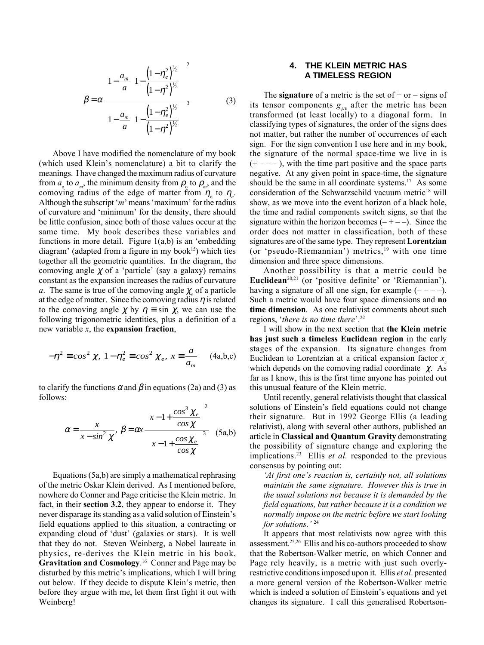$$
\beta = \alpha \left[ 1 - \frac{a_m}{a} \left( 1 - \frac{\left( 1 - \eta_e^2 \right)^{3/2}}{\left( 1 - \eta^2 \right)^{1/2}} \right) \right]^2
$$
  

$$
1 - \frac{a_m}{a} \left[ 1 - \frac{\left( 1 - \eta_e^2 \right)^{1/2}}{\left( 1 - \eta^2 \right)^{1/2}} \right]^3
$$
 (3)

Above I have modified the nomenclature of my book (which used Klein's nomenclature) a bit to clarify the meanings. I have changed the maximum radius of curvature from  $a_0$  to  $a_m$ , the minimum density from  $\rho_0$  to  $\rho_m$ , and the comoving radius of the edge of matter from  $\eta_0$  to  $\eta_e$ . Although the subscript ' $m$ ' means 'maximum' for the radius of curvature and 'minimum' for the density, there should be little confusion, since both of those values occur at the same time. My book describes these variables and functions in more detail. Figure  $1(a,b)$  is an 'embedding diagram' (adapted from a figure in my book<sup>15</sup>) which ties together all the geometric quantities. In the diagram, the comoving angle  $\chi$  of a 'particle' (say a galaxy) remains constant as the expansion increases the radius of curvature a. The same is true of the comoving angle  $\chi_e$  of a particle at the edge of matter. Since the comoving radius  $\eta$  is related to the comoving angle  $\chi$  by  $\eta = \sin \chi$ , we can use the following trigonometric identities, plus a definition of a new variable  $x$ , the expansion fraction,

$$
-\eta^2 \equiv \cos^2 \chi, \ 1 - \eta_e^2 \equiv \cos^2 \chi_e, \ x \equiv \frac{a}{a_m} \quad \text{(4a,b,c)}
$$

to clarify the functions  $\alpha$  and  $\beta$  in equations (2a) and (3) as follows:

$$
\alpha = \frac{x}{x - \sin^2 \chi}, \ \beta = \alpha x \frac{\left(x - 1 + \frac{\cos^3 \chi_e}{\cos \chi}\right)^2}{\left(x - 1 + \frac{\cos \chi_e}{\cos \chi}\right)^3} \quad (5a,b)
$$

Equations (5a,b) are simply a mathematical rephrasing of the metric Oskar Klein derived. As I mentioned before, nowhere do Conner and Page criticise the Klein metric. In fact, in their section 3.2, they appear to endorse it. They never disparage its standing as a valid solution of Einstein's field equations applied to this situation, a contracting or expanding cloud of 'dust' (galaxies or stars). It is well that they do not. Steven Weinberg, a Nobel laureate in physics, re-derives the Klein metric in his book,  $\mathbf G$ ravitation and Cosmology.<sup>16</sup> Conner and Page may be disturbed by this metric's implications, which I will bring out below. If they decide to dispute Klein's metric, then before they argue with me, let them first fight it out with Weinberg!

### **4. THE KLEIN METRIC HAS A TIMELESS REGION**

The signature of a metric is the set of  $+$  or  $-$  signs of its tensor components  $g_{\mu\nu}$  after the metric has been transformed (at least locally) to a diagonal form. In classifying types of signatures, the order of the signs does not matter, but rather the number of occurrences of each sign. For the sign convention I use here and in my book, the signature of the normal space-time we live in is  $(+---)$ , with the time part positive and the space parts negative. At any given point in space-time, the signature should be the same in all coordinate systems.<sup>17</sup> As some consideration of the Schwarzschild vacuum metric<sup>18</sup> will show, as we move into the event horizon of a black hole, the time and radial components switch signs, so that the signature within the horizon becomes  $(- + - -)$ . Since the order does not matter in classification, both of these signatures are of the same type. They represent Lorentzian (or 'pseudo-Riemannian') metrics,<sup>19</sup> with one time dimension and three space dimensions.

Another possibility is that a metric could be Euclidean<sup>20,21</sup> (or 'positive definite' or 'Riemannian'), having a signature of all one sign, for example  $(- - -)$ . Such a metric would have four space dimensions and no time dimension. As one relativist comments about such regions, 'there is no time there'. $22$ 

I will show in the next section that the Klein metric has just such a timeless Euclidean region in the early stages of the expansion. Its signature changes from Euclidean to Lorentzian at a critical expansion factor  $x_c$ which depends on the comoving radial coordinate  $\chi$ . As far as I know, this is the first time anyone has pointed out this unusual feature of the Klein metric.

Until recently, general relativists thought that classical solutions of Einstein's field equations could not change their signature. But in 1992 George Ellis (a leading relativist), along with several other authors, published an article in Classical and Quantum Gravity demonstrating the possibility of signature change and exploring the implications.<sup>23</sup> Ellis *et al.* responded to the previous consensus by pointing out:

'At first one's reaction is, certainly not, all solutions maintain the same signature. However this is true in the usual solutions not because it is demanded by the field equations, but rather because it is a condition we normally impose on the metric before we start looking for solutions.<sup> $124$ </sup>

It appears that most relativists now agree with this assessment.25,26 Ellis and his co-authors proceeded to show that the Robertson-Walker metric, on which Conner and Page rely heavily, is a metric with just such overlyrestrictive conditions imposed upon it. Ellis et al. presented a more general version of the Robertson-Walker metric which is indeed a solution of Einstein's equations and yet changes its signature. I call this generalised Robertson-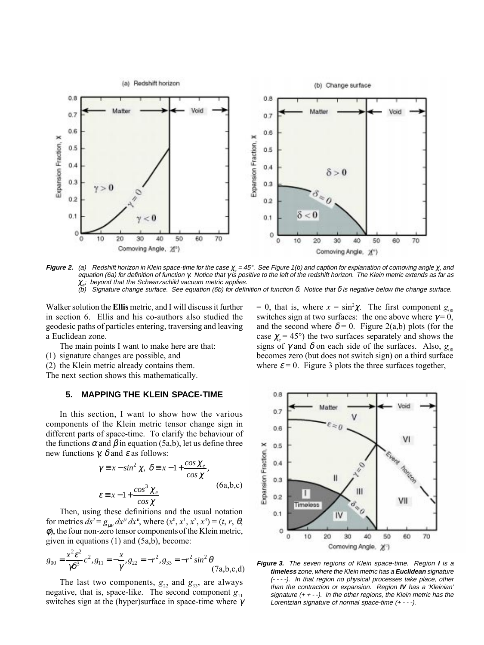

**Figure 2.** (a) Redshift horizon in Klein space-time for the case χ $_{e}$  = 45°. See Figure 1(b) and caption for explanation of comoving angle χ, and equation (6a) for definition of function γ. Notice that γ is positive to the left of the redshift horizon. The Klein metric extends as far as  $\chi_{e^*}$  beyond that the Schwarzschild vacuum metric applies.

(b) Signature change surface. See equation (6b) for definition of function δ. Notice that δ is negative below the change surface.

Walker solution the Ellis metric, and I will discuss it further in section 6. Ellis and his co-authors also studied the geodesic paths of particles entering, traversing and leaving a Euclidean zone.

The main points I want to make here are that:

- (1) signature changes are possible, and
- (2) the Klein metric already contains them.

The next section shows this mathematically.

#### **5. MAPPING THE KLEIN SPACE-TIME**

In this section, I want to show how the various components of the Klein metric tensor change sign in different parts of space-time. To clarify the behaviour of the functions  $\alpha$  and  $\beta$  in equation (5a,b), let us define three new functions  $\gamma$ ,  $\delta$  and  $\varepsilon$  as follows:

$$
\gamma \equiv x - \sin^2 \chi, \ \delta \equiv x - 1 + \frac{\cos \chi_e}{\cos \chi},
$$
  

$$
\varepsilon \equiv x - 1 + \frac{\cos^3 \chi_e}{\cos \chi} \tag{6a,b,c}
$$

Then, using these definitions and the usual notation for metrics  $ds^2 = g_{\mu\nu} dx^{\mu} dx^{\nu}$ , where  $(x^0, x^1, x^2, x^3) = (t, r, \theta,$  $\phi$ ), the four non-zero tensor components of the Klein metric, given in equations (1) and (5a,b), become:

$$
g_{00} = \frac{x^2 \varepsilon^2}{\gamma \delta^3} c^2, g_{11} = -\frac{x}{\gamma}, g_{22} = -r^2, g_{33} = -r^2 \sin^2 \theta \tag{7a,b,c,d}
$$

The last two components,  $g_{22}$  and  $g_{33}$ , are always negative, that is, space-like. The second component  $g_{11}$ switches sign at the (hyper)surface in space-time where <sup>γ</sup>

= 0, that is, where  $x = \sin^2 \chi$ . The first component  $g_{00}$ switches sign at two surfaces: the one above where  $\gamma = 0$ , and the second where  $\delta = 0$ . Figure 2(a,b) plots (for the case  $\chi$  = 45°) the two surfaces separately and shows the signs of  $\gamma$  and  $\delta$  on each side of the surfaces. Also,  $g_{00}$ becomes zero (but does not switch sign) on a third surface where  $\varepsilon = 0$ . Figure 3 plots the three surfaces together,



**Figure 3.** The seven regions of Klein space-time. Region **I** is a **timeless** zone, where the Klein metric has a **Euclidean** signature (- - - -). In that region no physical processes take place, other than the contraction or expansion. Region **IV** has a 'Kleinian' signature  $(+ + -)$ . In the other regions, the Klein metric has the Lorentzian signature of normal space-time (+ - - -).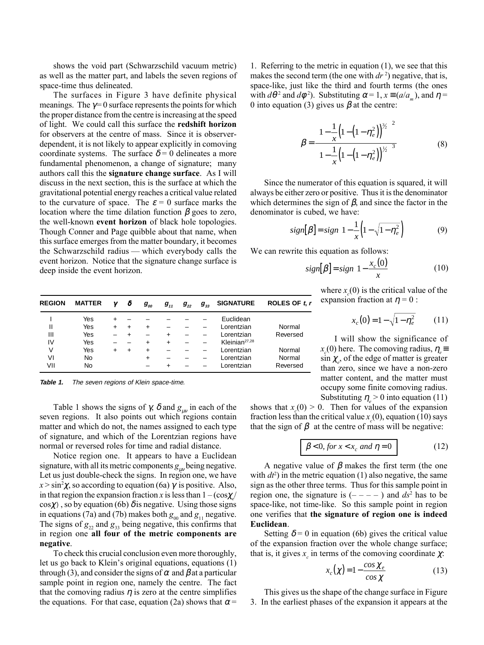shows the void part (Schwarzschild vacuum metric) as well as the matter part, and labels the seven regions of space-time thus delineated.

The surfaces in Figure 3 have definite physical meanings. The  $\gamma = 0$  surface represents the points for which the proper distance from the centre is increasing at the speed of light. We could call this surface the redshift horizon for observers at the centre of mass. Since it is observerdependent, it is not likely to appear explicitly in comoving coordinate systems. The surface  $\delta = 0$  delineates a more fundamental phenomenon, a change of signature; many authors call this the signature change surface. As I will discuss in the next section, this is the surface at which the gravitational potential energy reaches a critical value related to the curvature of space. The  $\varepsilon = 0$  surface marks the location where the time dilation function  $β$  goes to zero, the well-known event horizon of black hole topologies. Though Conner and Page quibble about that name, when this surface emerges from the matter boundary, it becomes the Schwarzschild radius  $-$  which everybody calls the event horizon. Notice that the signature change surface is deep inside the event horizon.

| 1. Referring to the metric in equation $(1)$ , we see that this                                 |
|-------------------------------------------------------------------------------------------------|
| makes the second term (the one with $dr^2$ ) negative, that is,                                 |
| space-like, just like the third and fourth terms (the ones                                      |
| with $d\theta^2$ and $d\phi^2$ ). Substituting $\alpha = 1$ , $x \equiv (a/a_m)$ , and $\eta =$ |
| 0 into equation (3) gives us $\beta$ at the centre:                                             |

$$
\beta = \frac{\left[1 - \frac{1}{x}\left(1 - \left(1 - \eta_e^2\right)\right)^{3/2}\right]^2}{\left[1 - \frac{1}{x}\left(1 - \left(1 - \eta_e^2\right)\right)^{3/2}\right]^3}
$$
(8)

Since the numerator of this equation is squared, it will always be either zero or positive. Thus it is the denominator which determines the sign of  $\beta$ , and since the factor in the denominator is cubed, we have:

$$
sign[\beta] = sign\left[1 - \frac{1}{x}\left(1 - \sqrt{1 - \eta_e^2}\right)\right]
$$
 (9)

We can rewrite this equation as follows:

$$
sign[\beta] = sign\left[1 - \frac{x_c(0)}{x}\right] \tag{10}
$$

where  $x_c(0)$  is the critical value of the expansion fraction at  $\eta = 0$ :

$$
x_c(0) = 1 - \sqrt{1 - \eta_e^2} \tag{11}
$$

I will show the significance of  $x_c(0)$  here. The comoving radius,  $\eta_e =$  $\sin \chi_e$ , of the edge of matter is greater than zero, since we have a non-zero matter content, and the matter must occupy some finite comoving radius. Substituting  $\eta_e > 0$  into equation (11)

shows that  $x_c(0) > 0$ . Then for values of the expansion fraction less than the critical value  $x_c(0)$ , equation (10) says that the sign of  $\beta$  at the centre of mass will be negative:

$$
\beta < 0, \text{ for } x < x_c \text{ and } \eta = 0 \tag{12}
$$

A negative value of  $\beta$  makes the first term (the one with  $dt^2$ ) in the metric equation (1) also negative, the same sign as the other three terms. Thus for this sample point in region one, the signature is  $(- - - -)$  and  $ds^2$  has to be space-like, not time-like. So this sample point in region one verifies that the signature of region one is indeed Euclidean.

Setting  $\delta = 0$  in equation (6b) gives the critical value of the expansion fraction over the whole change surface; that is, it gives  $x_c$  in terms of the comoving coordinate  $\chi$ .

$$
x_c(\chi) = 1 - \frac{\cos \chi_e}{\cos \chi} \tag{13}
$$

This gives us the shape of the change surface in Figure 3. In the earliest phases of the expansion it appears at the

| <b>REGION</b> | <b>MATTER</b> | γ      | δ | $g_{_{00}}$ | $g_{_{11}}$ | $g_{_{22}}$ | $g_{33}$ | <b>SIGNATURE</b>          | ROLES OF t.r |
|---------------|---------------|--------|---|-------------|-------------|-------------|----------|---------------------------|--------------|
|               | Yes           |        |   |             |             |             |          | Euclidean                 |              |
| Ш             | Yes           | $\div$ |   | $\ddot{}$   |             |             |          | Lorentzian                | Normal       |
| Ш             | Yes           |        |   |             |             |             |          | Lorentzian                | Reversed     |
| IV            | Yes           |        |   | $\ddot{}$   | $\div$      |             |          | Kleinian <sup>27,28</sup> |              |
| V             | Yes           |        |   | $\ddot{}$   |             |             |          | Lorentzian                | Normal       |
| VI            | No            |        |   | $\ddot{}$   |             |             |          | Lorentzian                | Normal       |
| VII           | No            |        |   |             | ÷           |             |          | Lorentzian                | Reversed     |
|               |               |        |   |             |             |             |          |                           |              |

Table 1. The seven regions of Klein space-time.

Table 1 shows the signs of  $\gamma$ ,  $\delta$  and  $g_{uv}$  in each of the seven regions. It also points out which regions contain matter and which do not, the names assigned to each type of signature, and which of the Lorentzian regions have normal or reversed roles for time and radial distance.

Notice region one. It appears to have a Euclidean signature, with all its metric components  $g_{\mu\nu}$  being negative. Let us just double-check the signs. In region one, we have  $x > \sin^2 \chi$ , so according to equation (6a)  $\gamma$  is positive. Also, in that region the expansion fraction x is less than  $1 - (\cos \chi)/2$  $\cos \chi$ ), so by equation (6b)  $\delta$  is negative. Using those signs in equations (7a) and (7b) makes both  $g_{00}$  and  $g_{11}$  negative. The signs of  $g_{22}$  and  $g_{33}$  being negative, this confirms that in region one all four of the metric components are negative.

To check this crucial conclusion even more thoroughly, let us go back to Klein's original equations, equations  $(1)$ through (3), and consider the signs of  $\alpha$  and  $\beta$  at a particular sample point in region one, namely the centre. The fact that the comoving radius  $\eta$  is zero at the centre simplifies the equations. For that case, equation (2a) shows that  $\alpha$  =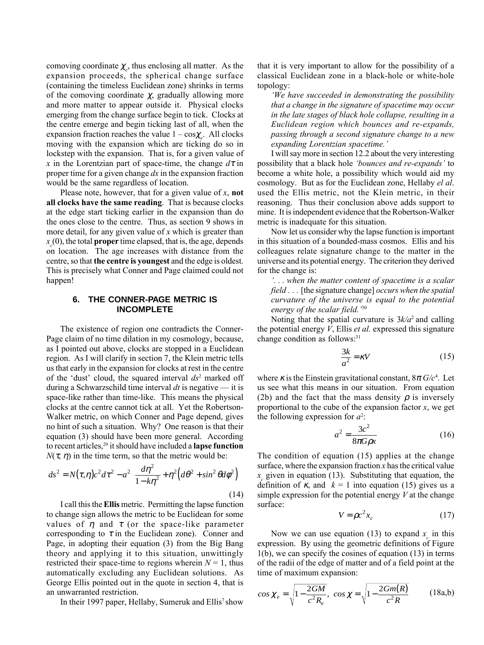comoving coordinate  $\chi_e$ , thus enclosing all matter. As the expansion proceeds, the spherical change surface (containing the timeless Euclidean zone) shrinks in terms of the comoving coordinate  $\chi$ , gradually allowing more and more matter to appear outside it. Physical clocks emerging from the change surface begin to tick. Clocks at the centre emerge and begin ticking last of all, when the expansion fraction reaches the value  $1 - \cos\chi_e$ . All clocks moving with the expansion which are ticking do so in lockstep with the expansion. That is, for a given value of x in the Lorentzian part of space-time, the change  $d\tau$  in proper time for a given change  $dx$  in the expansion fraction would be the same regardless of location.

Please note, however, that for a given value of x, not all clocks have the same reading. That is because clocks at the edge start ticking earlier in the expansion than do the ones close to the centre. Thus, as section 9 shows in more detail, for any given value of x which is greater than  $x_c(0)$ , the total **proper** time elapsed, that is, the age, depends on location. The age increases with distance from the centre, so that the centre is youngest and the edge is oldest. This is precisely what Conner and Page claimed could not happen!

#### **6. THE CONNER-PAGE METRIC IS INCOMPLETE**

The existence of region one contradicts the Conner-Page claim of no time dilation in my cosmology, because, as I pointed out above, clocks are stopped in a Euclidean region. As I will clarify in section 7, the Klein metric tells us that early in the expansion for clocks at rest in the centre of the 'dust' cloud, the squared interval  $ds^2$  marked off during a Schwarzschild time interval  $dt$  is negative  $-$  it is space-like rather than time-like. This means the physical clocks at the centre cannot tick at all. Yet the Robertson-Walker metric, on which Conner and Page depend, gives no hint of such a situation. Why? One reason is that their equation (3) should have been more general. According to recent articles, $29$  it should have included a **lapse function**  $N(\tau, \eta)$  in the time term, so that the metric would be:

$$
ds^2 = N(\tau, \eta)c^2 d\tau^2 - a^2 \left[ \frac{d\eta^2}{1 - k\eta^2} + \eta^2 \left( d\theta^2 + \sin^2 \theta d\phi^2 \right) \right]
$$
\n(14)

I call this the Ellis metric. Permitting the lapse function to change sign allows the metric to be Euclidean for some values of  $\eta$  and  $\tau$  (or the space-like parameter corresponding to  $\tau$  in the Euclidean zone). Conner and Page, in adopting their equation (3) from the Big Bang theory and applying it to this situation, unwittingly restricted their space-time to regions wherein  $N = 1$ , thus automatically excluding any Euclidean solutions. As George Ellis pointed out in the quote in section 4, that is an unwarranted restriction.

In their 1997 paper, Hellaby, Sumeruk and Ellis<sup>7</sup> show

that it is very important to allow for the possibility of a classical Euclidean zone in a black-hole or white-hole topology:

ëWe have succeeded in demonstrating the possibility that a change in the signature of spacetime may occur in the late stages of black hole collapse, resulting in a Euclidean region which bounces and re-expands, passing through a second signature change to a new expanding Lorentzian spacetime.

I will say more in section 12.2 about the very interesting possibility that a black hole *'bounces and re-expands'* to become a white hole, a possibility which would aid my cosmology. But as for the Euclidean zone, Hellaby el al. used the Ellis metric, not the Klein metric, in their reasoning. Thus their conclusion above adds support to mine. It is independent evidence that the Robertson-Walker metric is inadequate for this situation.

Now let us consider why the lapse function is important in this situation of a bounded-mass cosmos. Ellis and his colleagues relate signature change to the matter in the universe and its potential energy. The criterion they derived for the change is:

ë. . . when the matter content of spacetime is a scalar field . . . [the signature change] *occurs when the spatial* curvature of the universe is equal to the potential energy of the scalar field.<sup>30</sup>

Noting that the spatial curvature is  $3k/a^2$  and calling the potential energy  $V$ , Ellis *et al.* expressed this signature change condition as follows:<sup>31</sup>

$$
\frac{3k}{a^2} = \kappa V \tag{15}
$$

where  $\kappa$  is the Einstein gravitational constant,  $8\pi G/c^4$ . Let us see what this means in our situation. From equation (2b) and the fact that the mass density  $\rho$  is inversely proportional to the cube of the expansion factor  $x$ , we get the following expression for  $a^2$ .

$$
a^2 = \frac{3c^2}{8\pi G\rho x}
$$
 (16)

The condition of equation (15) applies at the change surface, where the expansion fraction  $x$  has the critical value  $x_c$  given in equation (13). Substituting that equation, the definition of  $\kappa$ , and  $k = 1$  into equation (15) gives us a simple expression for the potential energy  $V$  at the change surface:

$$
V = \rho c^2 x_c \tag{17}
$$

Now we can use equation (13) to expand  $x_c$  in this expression. By using the geometric definitions of Figure 1(b), we can specify the cosines of equation (13) in terms of the radii of the edge of matter and of a field point at the time of maximum expansion:

$$
\cos \chi_e = \sqrt{1 - \frac{2GM}{c^2 R_e}}, \quad \cos \chi = \sqrt{1 - \frac{2Gm(R)}{c^2 R}}
$$
(18a,b)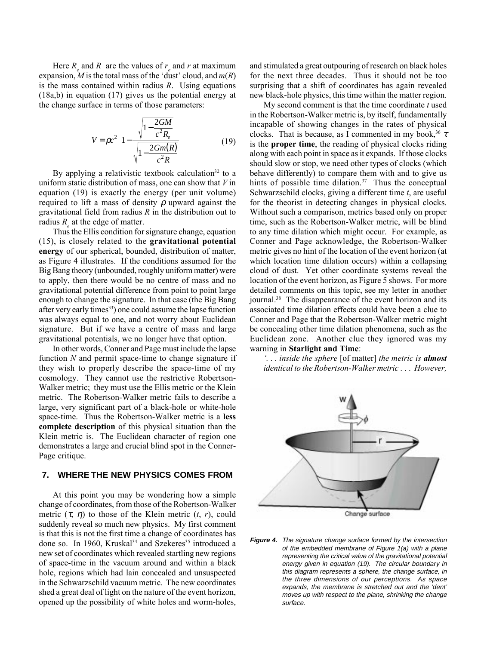Here  $R_e$  and R are the values of  $r_e$  and r at maximum expansion, M is the total mass of the 'dust' cloud, and  $m(R)$ is the mass contained within radius  $R$ . Using equations (18a,b) in equation (17) gives us the potential energy at the change surface in terms of those parameters:

$$
V = \rho c^2 \left( 1 - \frac{\sqrt{1 - \frac{2GM}{c^2 R_e}}}{\sqrt{1 - \frac{2Gm(R)}{c^2 R}}}} \right)
$$
(19)

By applying a relativistic textbook calculation<sup>32</sup> to a uniform static distribution of mass, one can show that  $V$  in equation (19) is exactly the energy (per unit volume) required to lift a mass of density  $\rho$  upward against the gravitational field from radius R in the distribution out to radius  $R_e$  at the edge of matter.

Thus the Ellis condition for signature change, equation (15), is closely related to the gravitational potential energy of our spherical, bounded, distribution of matter, as Figure 4 illustrates. If the conditions assumed for the Big Bang theory (unbounded, roughly uniform matter) were to apply, then there would be no centre of mass and no gravitational potential difference from point to point large enough to change the signature. In that case (the Big Bang after very early times<sup>33</sup>) one could assume the lapse function was always equal to one, and not worry about Euclidean signature. But if we have a centre of mass and large gravitational potentials, we no longer have that option.

In other words, Conner and Page must include the lapse function  $N$  and permit space-time to change signature if they wish to properly describe the space-time of my cosmology. They cannot use the restrictive Robertson-Walker metric; they must use the Ellis metric or the Klein metric. The Robertson-Walker metric fails to describe a large, very significant part of a black-hole or white-hole space-time. Thus the Robertson-Walker metric is a less complete description of this physical situation than the Klein metric is. The Euclidean character of region one demonstrates a large and crucial blind spot in the Conner-Page critique.

#### **7. WHERE THE NEW PHYSICS COMES FROM**

At this point you may be wondering how a simple change of coordinates, from those of the Robertson-Walker metric  $(\tau, \eta)$  to those of the Klein metric  $(t, r)$ , could suddenly reveal so much new physics. My first comment is that this is not the first time a change of coordinates has done so. In 1960, Kruskal<sup>34</sup> and Szekeres<sup>35</sup> introduced a new set of coordinates which revealed startling new regions of space-time in the vacuum around and within a black hole, regions which had lain concealed and unsuspected in the Schwarzschild vacuum metric. The new coordinates shed a great deal of light on the nature of the event horizon, opened up the possibility of white holes and worm-holes,

and stimulated a great outpouring of research on black holes for the next three decades. Thus it should not be too surprising that a shift of coordinates has again revealed new black-hole physics, this time within the matter region.

My second comment is that the time coordinate  $t$  used in the Robertson-Walker metric is, by itself, fundamentally incapable of showing changes in the rates of physical clocks. That is because, as I commented in my book,  $36 \tau$ is the proper time, the reading of physical clocks riding along with each point in space as it expands. If those clocks should slow or stop, we need other types of clocks (which behave differently) to compare them with and to give us hints of possible time dilation. $37$  Thus the conceptual Schwarzschild clocks, giving a different time  $t$ , are useful for the theorist in detecting changes in physical clocks. Without such a comparison, metrics based only on proper time, such as the Robertson-Walker metric, will be blind to any time dilation which might occur. For example, as Conner and Page acknowledge, the Robertson-Walker metric gives no hint of the location of the event horizon (at which location time dilation occurs) within a collapsing cloud of dust. Yet other coordinate systems reveal the location of the event horizon, as Figure 5 shows. For more detailed comments on this topic, see my letter in another journal.38 The disappearance of the event horizon and its associated time dilation effects could have been a clue to Conner and Page that the Robertson-Walker metric might be concealing other time dilation phenomena, such as the Euclidean zone. Another clue they ignored was my warning in Starlight and Time:

 $\therefore$  inside the sphere [of matter] the metric is **almost** identical to the Robertson-Walker metric . . . However,



**Figure 4.** The signature change surface formed by the intersection of the embedded membrane of Figure 1(a) with a plane representing the critical value of the gravitational potential energy given in equation (19). The circular boundary in this diagram represents a sphere, the change surface, in the three dimensions of our perceptions. As space expands, the membrane is stretched out and the 'dent' moves up with respect to the plane, shrinking the change surface.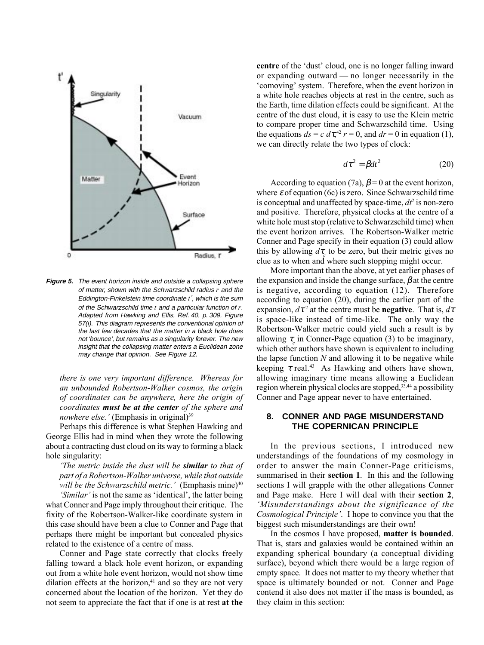

**Figure 5.** The event horizon inside and outside a collapsing sphere of matter, shown with the Schwarzschild radius  $r$  and the Eddington-Finkelstein time coordinate  $t'$ , which is the sum of the Schwarzschild time  $t$  and a particular function of  $r$ . Adapted from Hawking and Ellis, Ref. 40, p. 309, Figure 57(i). This diagram represents the conventional opinion of the last few decades that the matter in a black hole does not 'bounce', but remains as a singularity forever. The new insight that the collapsing matter enters a Euclidean zone may change that opinion. See Figure 12.

there is one very important difference. Whereas for an unbounded Robertson-Walker cosmos, the origin of coordinates can be anywhere, here the origin of coordinates must be at the center of the sphere and nowhere else.<sup>'</sup> (Emphasis in original)<sup>39</sup>

Perhaps this difference is what Stephen Hawking and George Ellis had in mind when they wrote the following about a contracting dust cloud on its way to forming a black hole singularity:

The metric inside the dust will be similar to that of part of a Robertson-Walker universe, while that outside will be the Schwarzschild metric.' (Emphasis mine) $40$ 'Similar' is not the same as 'identical', the latter being what Conner and Page imply throughout their critique. The fixity of the Robertson-Walker-like coordinate system in this case should have been a clue to Conner and Page that perhaps there might be important but concealed physics related to the existence of a centre of mass.

Conner and Page state correctly that clocks freely falling toward a black hole event horizon, or expanding out from a white hole event horizon, would not show time dilation effects at the horizon.<sup>41</sup> and so they are not very concerned about the location of the horizon. Yet they do not seem to appreciate the fact that if one is at rest at the centre of the 'dust' cloud, one is no longer falling inward or expanding outward  $-$  no longer necessarily in the ëcomovingí system. Therefore, when the event horizon in a white hole reaches objects at rest in the centre, such as the Earth, time dilation effects could be significant. At the centre of the dust cloud, it is easy to use the Klein metric to compare proper time and Schwarzschild time. Using the equations  $ds = c d\tau^{42} r = 0$ , and  $dr = 0$  in equation (1). we can directly relate the two types of clock:

$$
d\tau^2 = \beta dt^2 \tag{20}
$$

According to equation (7a),  $\beta$  = 0 at the event horizon, where  $\varepsilon$  of equation (6c) is zero. Since Schwarzschild time is conceptual and unaffected by space-time,  $dt^2$  is non-zero and positive. Therefore, physical clocks at the centre of a white hole must stop (relative to Schwarzschild time) when the event horizon arrives. The Robertson-Walker metric Conner and Page specify in their equation (3) could allow this by allowing  $d\tau_c$  to be zero, but their metric gives no clue as to when and where such stopping might occur.

More important than the above, at yet earlier phases of the expansion and inside the change surface,  $\beta$  at the centre is negative, according to equation (12). Therefore according to equation (20), during the earlier part of the expansion,  $d\tau^2$  at the centre must be **negative**. That is,  $d\tau$ is space-like instead of time-like. The only way the Robertson-Walker metric could yield such a result is by allowing  $\tau_c$  in Conner-Page equation (3) to be imaginary, which other authors have shown is equivalent to including the lapse function  $N$  and allowing it to be negative while keeping  $\tau$  real.<sup>43</sup> As Hawking and others have shown, allowing imaginary time means allowing a Euclidean region wherein physical clocks are stopped,<sup>33,44</sup> a possibility Conner and Page appear never to have entertained.

#### **8. CONNER AND PAGE MISUNDERSTAND THE COPERNICAN PRINCIPLE**

In the previous sections, I introduced new understandings of the foundations of my cosmology in order to answer the main Conner-Page criticisms, summarised in their **section 1**. In this and the following sections I will grapple with the other allegations Conner and Page make. Here I will deal with their section 2, ëMisunderstandings about the significance of the Cosmological Principle<sup>'</sup>. I hope to convince you that the biggest such misunderstandings are their own!

In the cosmos I have proposed, matter is bounded. That is, stars and galaxies would be contained within an expanding spherical boundary (a conceptual dividing surface), beyond which there would be a large region of empty space. It does not matter to my theory whether that space is ultimately bounded or not. Conner and Page contend it also does not matter if the mass is bounded, as they claim in this section: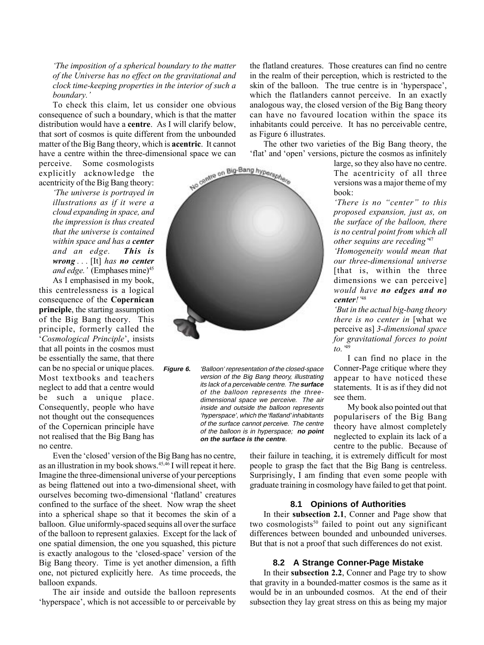ëThe imposition of a spherical boundary to the matter of the Universe has no effect on the gravitational and clock time-keeping properties in the interior of such a boundary.'

To check this claim, let us consider one obvious consequence of such a boundary, which is that the matter distribution would have a centre. As I will clarify below, that sort of cosmos is quite different from the unbounded matter of the Big Bang theory, which is acentric. It cannot have a centre within the three-dimensional space we can

perceive. Some cosmologists explicitly acknowledge the acentricity of the Big Bang theory:

The universe is portrayed in illustrations as if it were a cloud expanding in space, and the impression is thus created that the universe is contained within space and has a center and an edge. This is wrong ... [It] has no center and edge.<sup>'</sup> (Emphases mine)<sup>45</sup> As I emphasised in my book, this centrelessness is a logical consequence of the Copernican principle, the starting assumption of the Big Bang theory. This principle, formerly called the 'Cosmological Principle', insists that all points in the cosmos must be essentially the same, that there can be no special or unique places. Most textbooks and teachers neglect to add that a centre would be such a unique place. Consequently, people who have not thought out the consequences of the Copernican principle have not realised that the Big Bang has no centre.



**Figure 6.** 'Balloon' representation of the closed-space version of the Big Bang theory, illustrating its lack of a perceivable centre. The **surface** of the balloon represents the threedimensional space we perceive. The air inside and outside the balloon represents 'hyperspace', which the 'flatland' inhabitants of the surface cannot perceive. The centre of the balloon is in hyperspace; **no point on the surface is the centre**.

Even the 'closed' version of the Big Bang has no centre, as an illustration in my book shows.<sup>45,46</sup> I will repeat it here. Imagine the three-dimensional universe of your perceptions as being flattened out into a two-dimensional sheet, with ourselves becoming two-dimensional 'flatland' creatures confined to the surface of the sheet. Now wrap the sheet into a spherical shape so that it becomes the skin of a balloon. Glue uniformly-spaced sequins all over the surface of the balloon to represent galaxies. Except for the lack of one spatial dimension, the one you squashed, this picture is exactly analogous to the 'closed-space' version of the Big Bang theory. Time is yet another dimension, a fifth one, not pictured explicitly here. As time proceeds, the balloon expands.

The air inside and outside the balloon represents 'hyperspace', which is not accessible to or perceivable by the flatland creatures. Those creatures can find no centre in the realm of their perception, which is restricted to the skin of the balloon. The true centre is in 'hyperspace', which the flatlanders cannot perceive. In an exactly analogous way, the closed version of the Big Bang theory can have no favoured location within the space its inhabitants could perceive. It has no perceivable centre, as Figure 6 illustrates.

The other two varieties of the Big Bang theory, the flat' and 'open' versions, picture the cosmos as infinitely

> large, so they also have no centre. The acentricity of all three versions was a major theme of my book:

> 'There is no "center" to this proposed expansion, just as, on the surface of the balloon, there is no central point from which all other sequins are receding  $47$

> ëHomogeneity would mean that our three-dimensional universe [that is, within the three dimensions we can perceive] would have no edges and no center!<sup>'48</sup>

ëBut in the actual big-bang theory there is no center in [what we perceive as] 3-dimensional space for gravitational forces to point to. $49$ 

I can find no place in the Conner-Page critique where they appear to have noticed these statements. It is as if they did not see them.

My book also pointed out that popularisers of the Big Bang theory have almost completely neglected to explain its lack of a centre to the public. Because of

their failure in teaching, it is extremely difficult for most people to grasp the fact that the Big Bang is centreless. Surprisingly, I am finding that even some people with graduate training in cosmology have failed to get that point.

#### **8.1 Opinions of Authorities**

In their subsection 2.1, Conner and Page show that two cosmologists<sup>50</sup> failed to point out any significant differences between bounded and unbounded universes. But that is not a proof that such differences do not exist.

#### **8.2 A Strange Conner-Page Mistake**

In their subsection 2.2, Conner and Page try to show that gravity in a bounded-matter cosmos is the same as it would be in an unbounded cosmos. At the end of their subsection they lay great stress on this as being my major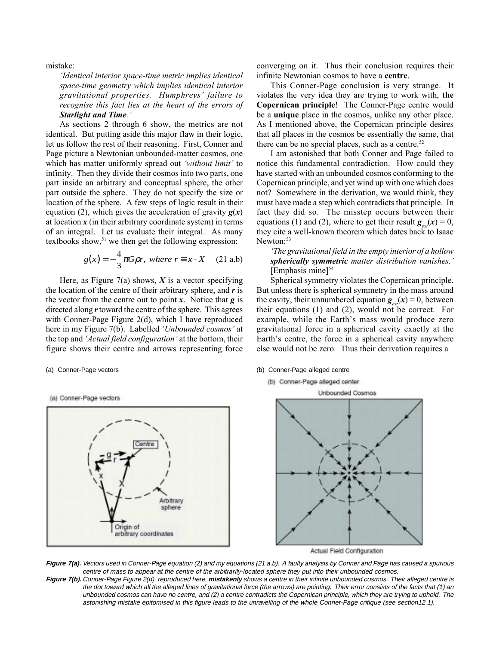mistake:

'Identical interior space-time metric implies identical space-time geometry which implies identical interior gravitational properties. Humphreys' failure to recognise this fact lies at the heart of the errors of Starlight and Time.'

As sections 2 through 6 show, the metrics are not identical. But putting aside this major flaw in their logic, let us follow the rest of their reasoning. First, Conner and Page picture a Newtonian unbounded-matter cosmos, one which has matter uniformly spread out 'without limit' to infinity. Then they divide their cosmos into two parts, one part inside an arbitrary and conceptual sphere, the other part outside the sphere. They do not specify the size or location of the sphere. A few steps of logic result in their equation (2), which gives the acceleration of gravity  $g(x)$ at location  $x$  (in their arbitrary coordinate system) in terms of an integral. Let us evaluate their integral. As many textbooks show, $51$  we then get the following expression:

$$
g(x) = -\frac{4}{3}\pi G\rho r, \text{ where } r \equiv x \cdot X \quad (21 \text{ a,b})
$$

Here, as Figure 7(a) shows,  $X$  is a vector specifying the location of the centre of their arbitrary sphere, and  $\boldsymbol{r}$  is the vector from the centre out to point  $x$ . Notice that  $g$  is directed along  $r$  toward the centre of the sphere. This agrees with Conner-Page Figure 2(d), which I have reproduced here in my Figure 7(b). Labelled 'Unbounded cosmos' at the top and 'Actual field configuration' at the bottom, their figure shows their centre and arrows representing force

(a) Conner-Page vectors



converging on it. Thus their conclusion requires their infinite Newtonian cosmos to have a centre.

This Conner-Page conclusion is very strange. It violates the very idea they are trying to work with, the Copernican principle! The Conner-Page centre would be a unique place in the cosmos, unlike any other place. As I mentioned above, the Copernican principle desires that all places in the cosmos be essentially the same, that there can be no special places, such as a centre. $52$ 

I am astonished that both Conner and Page failed to notice this fundamental contradiction. How could they have started with an unbounded cosmos conforming to the Copernican principle, and yet wind up with one which does not? Somewhere in the derivation, we would think, they must have made a step which contradicts that principle. In fact they did so. The misstep occurs between their equations (1) and (2), where to get their result  $g(x) = 0$ , they cite a well-known theorem which dates back to Isaac Newton:<sup>53</sup>

ëThe gravitational field in the empty interior of a hollow spherically symmetric matter distribution vanishes.'  $[Emphasis mine]^{54}$ 

Spherical symmetry violates the Copernican principle. But unless there is spherical symmetry in the mass around the cavity, their unnumbered equation  $g_{\text{ext}}(x) = 0$ , between their equations (1) and (2), would not be correct. For example, while the Earth's mass would produce zero gravitational force in a spherical cavity exactly at the Earth's centre, the force in a spherical cavity anywhere else would not be zero. Thus their derivation requires a

(a) Conner-Page vectors (b) Conner-Page alleged centre

(b) Conner-Page alleged center



Actual Field Configuration

**Figure 7(a).** Vectors used in Conner-Page equation (2) and my equations (21 a,b). A faulty analysis by Conner and Page has caused a spurious centre of mass to appear at the centre of the arbitrarily-located sphere they put into their unbounded cosmos.

**Figure 7(b).** Conner-Page Figure 2(d), reproduced here, **mistakenly** shows a centre in their infinite unbounded cosmos. Their alleged centre is the dot toward which all the alleged lines of gravitational force (the arrows) are pointing. Their error consists of the facts that (1) an unbounded cosmos can have no centre, and (2) a centre contradicts the Copernican principle, which they are trying to uphold. The astonishing mistake epitomised in this figure leads to the unravelling of the whole Conner-Page critique (see section12.1).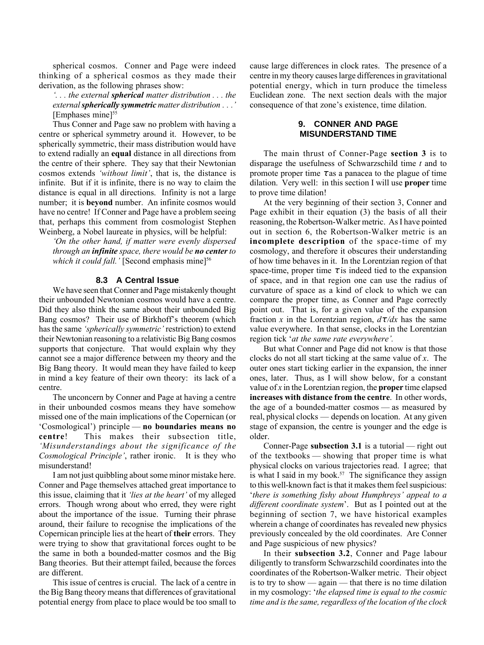spherical cosmos. Conner and Page were indeed thinking of a spherical cosmos as they made their derivation, as the following phrases show:

ë. . . the external spherical matter distribution . . . the external **spherically symmetric** matter distribution . . .<sup>'</sup> [Emphases mine]<sup>55</sup>

Thus Conner and Page saw no problem with having a centre or spherical symmetry around it. However, to be spherically symmetric, their mass distribution would have to extend radially an equal distance in all directions from the centre of their sphere. They say that their Newtonian cosmos extends 'without limit', that is, the distance is infinite. But if it is infinite, there is no way to claim the distance is equal in all directions. Infinity is not a large number; it is beyond number. An infinite cosmos would have no centre! If Conner and Page have a problem seeing that, perhaps this comment from cosmologist Stephen Weinberg, a Nobel laureate in physics, will be helpful:

'On the other hand, if matter were evenly dispersed through an **infinite** space, there would be **no center** to which it could fall.' [Second emphasis mine] $56$ 

#### **8.3 A Central Issue**

We have seen that Conner and Page mistakenly thought their unbounded Newtonian cosmos would have a centre. Did they also think the same about their unbounded Big Bang cosmos? Their use of Birkhoff's theorem (which has the same *'spherically symmetric'* restriction) to extend their Newtonian reasoning to a relativistic Big Bang cosmos supports that conjecture. That would explain why they cannot see a major difference between my theory and the Big Bang theory. It would mean they have failed to keep in mind a key feature of their own theory: its lack of a centre.

The unconcern by Conner and Page at having a centre in their unbounded cosmos means they have somehow missed one of the main implications of the Copernican (or  $Cosmological$ ) principle — no boundaries means no centre! This makes their subsection title, ëMisunderstandings about the significance of the Cosmological Principle', rather ironic. It is they who misunderstand!

I am not just quibbling about some minor mistake here. Conner and Page themselves attached great importance to this issue, claiming that it *lies at the heart'* of my alleged errors. Though wrong about who erred, they were right about the importance of the issue. Turning their phrase around, their failure to recognise the implications of the Copernican principle lies at the heart of their errors. They were trying to show that gravitational forces ought to be the same in both a bounded-matter cosmos and the Big Bang theories. But their attempt failed, because the forces are different.

This issue of centres is crucial. The lack of a centre in the Big Bang theory means that differences of gravitational potential energy from place to place would be too small to cause large differences in clock rates. The presence of a centre in my theory causes large differences in gravitational potential energy, which in turn produce the timeless Euclidean zone. The next section deals with the major consequence of that zone's existence, time dilation.

#### **9. CONNER AND PAGE MISUNDERSTAND TIME**

The main thrust of Conner-Page section 3 is to disparage the usefulness of Schwarzschild time  $t$  and to promote proper time  $\tau$  as a panacea to the plague of time dilation. Very well: in this section I will use proper time to prove time dilation!

At the very beginning of their section 3, Conner and Page exhibit in their equation (3) the basis of all their reasoning, the Robertson-Walker metric. As I have pointed out in section 6, the Robertson-Walker metric is an incomplete description of the space-time of my cosmology, and therefore it obscures their understanding of how time behaves in it. In the Lorentzian region of that space-time, proper time  $\tau$  is indeed tied to the expansion of space, and in that region one can use the radius of curvature of space as a kind of clock to which we can compare the proper time, as Conner and Page correctly point out. That is, for a given value of the expansion fraction x in the Lorentzian region,  $d\tau/dx$  has the same value everywhere. In that sense, clocks in the Lorentzian region tick 'at the same rate everywhere'.

But what Conner and Page did not know is that those clocks do not all start ticking at the same value of  $x$ . The outer ones start ticking earlier in the expansion, the inner ones, later. Thus, as I will show below, for a constant value of  $x$  in the Lorentzian region, the **proper** time elapsed increases with distance from the centre. In other words, the age of a bounded-matter cosmos  $-$  as measured by real, physical clocks — depends on location. At any given stage of expansion, the centre is younger and the edge is older.

Conner-Page subsection 3.1 is a tutorial  $-$  right out of the textbooks  $-$  showing that proper time is what physical clocks on various trajectories read. I agree; that is what I said in my book.<sup>57</sup> The significance they assign to this well-known fact is that it makes them feel suspicious: 'there is something fishy about Humphreys' appeal to a different coordinate system<sup>2</sup>. But as I pointed out at the beginning of section 7, we have historical examples wherein a change of coordinates has revealed new physics previously concealed by the old coordinates. Are Conner and Page suspicious of new physics?

In their subsection 3.2, Conner and Page labour diligently to transform Schwarzschild coordinates into the coordinates of the Robertson-Walker metric. Their object is to try to show  $\frac{1}{\sqrt{2}}$  again  $\frac{1}{\sqrt{2}}$  that there is no time dilation in my cosmology: 'the elapsed time is equal to the cosmic time and is the same, regardless of the location of the clock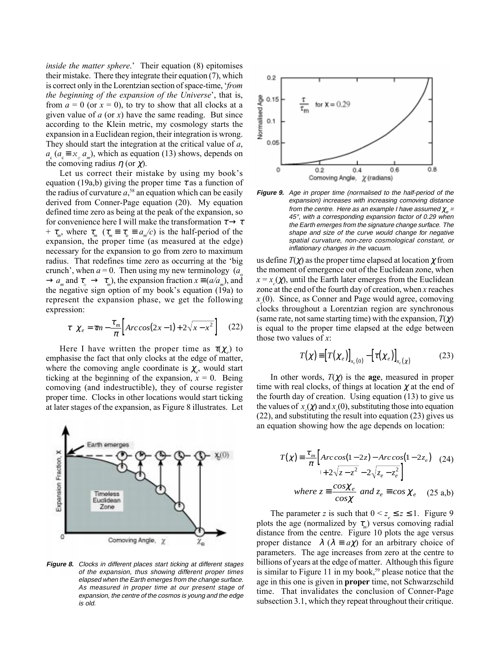*inside the matter sphere.* $^{\prime}$  Their equation (8) epitomises their mistake. There they integrate their equation (7), which is correct only in the Lorentzian section of space-time, *from* the beginning of the expansion of the Universe', that is, from  $a = 0$  (or  $x = 0$ ), to try to show that all clocks at a given value of  $a$  (or  $x$ ) have the same reading. But since according to the Klein metric, my cosmology starts the expansion in a Euclidean region, their integration is wrong. They should start the integration at the critical value of  $a$ ,  $a_c$  ( $a_c \equiv x_c$   $a_m$ ), which as equation (13) shows, depends on the comoving radius  $\eta$  (or  $\chi$ ).

Let us correct their mistake by using my book's equation (19a,b) giving the proper time  $\tau$  as a function of the radius of curvature  $a^{58}$  an equation which can be easily derived from Conner-Page equation (20). My equation defined time zero as being at the peak of the expansion, so for convenience here I will make the transformation  $\tau \rightarrow \tau$ +  $\tau_m$ , where  $\tau_m$  ( $\tau_m \equiv \tau_o \equiv a_m/c$ ) is the half-period of the expansion, the proper time (as measured at the edge) necessary for the expansion to go from zero to maximum radius. That redefines time zero as occurring at the 'big crunch<sup> $\dot{\ }$ </sup>, when  $a = 0$ . Then using my new terminology (a<sub>o</sub>  $\rightarrow a_m$  and  $\tau_{\alpha} \rightarrow \tau_m$ ), the expansion fraction  $x \equiv (a/a_m)$ , and the negative sign option of my book's equation  $(19a)$  to represent the expansion phase, we get the following expression:

$$
\tau \left( \chi_e = \tau m - \frac{\tau_m}{\pi} \left[ Arc\cos(2x - 1) + 2\sqrt{x - x^2} \right] \right) (22)
$$

Here I have written the proper time as  $\tau(\chi_e)$  to emphasise the fact that only clocks at the edge of matter, where the comoving angle coordinate is  $\chi_e$ , would start ticking at the beginning of the expansion,  $x = 0$ . Being comoving (and indestructible), they of course register proper time. Clocks in other locations would start ticking at later stages of the expansion, as Figure 8 illustrates. Let



**Figure 8.** Clocks in different places start ticking at different stages of the expansion, thus showing different proper times elapsed when the Earth emerges from the change surface. As measured in proper time at our present stage of expansion, the centre of the cosmos is young and the edge is old.



**Figure 9.** Age in proper time (normalised to the half-period of the expansion) increases with increasing comoving distance from the centre. Here as an example I have assumed  $\chi_{e}$  = 45°, with a corresponding expansion factor of 0.29 when the Earth emerges from the signature change surface. The shape and size of the curve would change for negative spatial curvature, non-zero cosmological constant, or inflationary changes in the vacuum.

us define  $T(\gamma)$  as the proper time elapsed at location  $\gamma$  from the moment of emergence out of the Euclidean zone, when  $x = x_c(\chi)$ , until the Earth later emerges from the Euclidean zone at the end of the fourth day of creation, when x reaches  $x_c(0)$ . Since, as Conner and Page would agree, comoving clocks throughout a Lorentzian region are synchronous (same rate, not same starting time) with the expansion,  $T(\chi)$ is equal to the proper time elapsed at the edge between those two values of  $x$ .

$$
T(\chi) \equiv \left[ T(\chi_e) \right]_{x_c(0)} - \left[ \tau(\chi_e) \right]_{x_c(\chi)}
$$
 (23)

In other words,  $T(\chi)$  is the **age**, measured in proper time with real clocks, of things at location  $\gamma$  at the end of the fourth day of creation. Using equation (13) to give us the values of  $x_c(\chi)$  and  $x_c(0)$ , substituting those into equation (22), and substituting the result into equation (23) gives us an equation showing how the age depends on location:

$$
T(\chi) = \frac{\tau_m}{\pi} \left[ Arc \cos(1 - 2z) - Arc \cos(1 - 2z_e) \right] \tag{24}
$$
  
 
$$
+ 2\sqrt{z - z^2} - 2\sqrt{z_e - z_e^2} \right]
$$
  
where  $z = \frac{\cos \chi_e}{\cos \chi}$  and  $z_e = \cos \chi_e$  (25 a,b)

The parameter z is such that  $0 \le z \le z \le 1$ . Figure 9 plots the age (normalized by  $\tau_{m}$ ) versus comoving radial distance from the centre. Figure 10 plots the age versus proper distance  $\lambda$  ( $\lambda \equiv a\chi$ ) for an arbitrary choice of parameters. The age increases from zero at the centre to billions of years at the edge of matter. Although this figure is similar to Figure 11 in my book,<sup>59</sup> please notice that the age in this one is given in proper time, not Schwarzschild time. That invalidates the conclusion of Conner-Page subsection 3.1, which they repeat throughout their critique.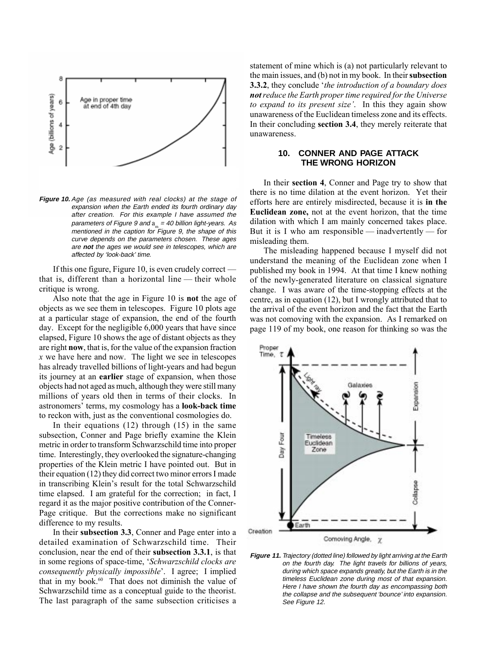

**Figure 10.** Age (as measured with real clocks) at the stage of expansion when the Earth ended its fourth ordinary day after creation. For this example I have assumed the parameters of Figure 9 and  $a_m = 40$  billion light-years. As mentioned in the caption for Figure 9, the shape of this curve depends on the parameters chosen. These ages are **not** the ages we would see in telescopes, which are affected by 'look-back' time.

If this one figure, Figure 10, is even crudely correct  $\overline{\phantom{a}}$ that is, different than a horizontal line  $-$  their whole critique is wrong.

Also note that the age in Figure 10 is not the age of objects as we see them in telescopes. Figure 10 plots age at a particular stage of expansion, the end of the fourth day. Except for the negligible 6,000 years that have since elapsed, Figure 10 shows the age of distant objects as they are right now, that is, for the value of the expansion fraction  $x$  we have here and now. The light we see in telescopes has already travelled billions of light-years and had begun its journey at an earlier stage of expansion, when those objects had not aged as much, although they were still many millions of years old then in terms of their clocks. In astronomers' terms, my cosmology has a **look-back time** to reckon with, just as the conventional cosmologies do.

In their equations (12) through (15) in the same subsection, Conner and Page briefly examine the Klein metric in order to transform Schwarzschild time into proper time. Interestingly, they overlooked the signature-changing properties of the Klein metric I have pointed out. But in their equation (12) they did correct two minor errors I made in transcribing Klein's result for the total Schwarzschild time elapsed. I am grateful for the correction; in fact, I regard it as the major positive contribution of the Conner-Page critique. But the corrections make no significant difference to my results.

In their subsection 3.3, Conner and Page enter into a detailed examination of Schwarzschild time. Their conclusion, near the end of their subsection 3.3.1, is that in some regions of space-time, 'Schwarzschild clocks are consequently physically impossible'. I agree; I implied that in my book.<sup>60</sup> That does not diminish the value of Schwarzschild time as a conceptual guide to the theorist. The last paragraph of the same subsection criticises a

statement of mine which is (a) not particularly relevant to the main issues, and (b) not in my book. In their subsection 3.3.2, they conclude 'the introduction of a boundary does not reduce the Earth proper time required for the Universe to expand to its present size'. In this they again show unawareness of the Euclidean timeless zone and its effects. In their concluding section 3.4, they merely reiterate that unawareness.

#### **10. CONNER AND PAGE ATTACK THE WRONG HORIZON**

In their section 4, Conner and Page try to show that there is no time dilation at the event horizon. Yet their efforts here are entirely misdirected, because it is in the Euclidean zone, not at the event horizon, that the time dilation with which I am mainly concerned takes place. But it is I who am responsible  $-$  inadvertently  $-$  for misleading them.

The misleading happened because I myself did not understand the meaning of the Euclidean zone when I published my book in 1994. At that time I knew nothing of the newly-generated literature on classical signature change. I was aware of the time-stopping effects at the centre, as in equation (12), but I wrongly attributed that to the arrival of the event horizon and the fact that the Earth was not comoving with the expansion. As I remarked on page 119 of my book, one reason for thinking so was the



**Figure 11.** Trajectory (dotted line) followed by light arriving at the Earth on the fourth day. The light travels for billions of years, during which space expands greatly, but the Earth is in the timeless Euclidean zone during most of that expansion. Here I have shown the fourth day as encompassing both the collapse and the subsequent 'bounce' into expansion. See Figure 12.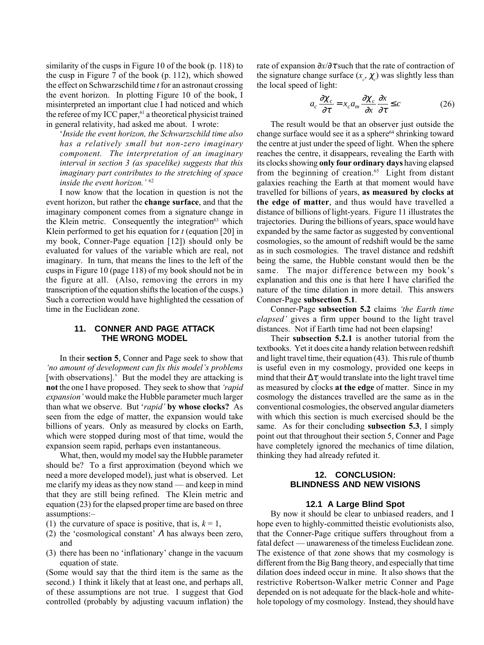similarity of the cusps in Figure 10 of the book (p. 118) to the cusp in Figure 7 of the book (p. 112), which showed the effect on Schwarzschild time  $t$  for an astronaut crossing the event horizon. In plotting Figure 10 of the book, I misinterpreted an important clue I had noticed and which the referee of my ICC paper,<sup>61</sup> a theoretical physicist trained in general relativity, had asked me about. I wrote:

ëInside the event horizon, the Schwarzschild time also has a relatively small but non-zero imaginary component. The interpretation of an imaginary interval in section 3 (as spacelike) suggests that this imaginary part contributes to the stretching of space inside the event horizon.<sup> $62$ </sup>

I now know that the location in question is not the event horizon, but rather the change surface, and that the imaginary component comes from a signature change in the Klein metric. Consequently the integration $63$  which Klein performed to get his equation for  $t$  (equation [20] in my book, Conner-Page equation [12]) should only be evaluated for values of the variable which are real, not imaginary. In turn, that means the lines to the left of the cusps in Figure 10 (page 118) of my book should not be in the figure at all. (Also, removing the errors in my transcription of the equation shifts the location of the cusps.) Such a correction would have highlighted the cessation of time in the Euclidean zone.

#### **11. CONNER AND PAGE ATTACK THE WRONG MODEL**

In their section 5, Conner and Page seek to show that 'no amount of development can fix this model's problems [with observations]. But the model they are attacking is not the one I have proposed. They seek to show that *'rapid* expansion' would make the Hubble parameter much larger than what we observe. But 'rapid' by whose clocks? As seen from the edge of matter, the expansion would take billions of years. Only as measured by clocks on Earth, which were stopped during most of that time, would the expansion seem rapid, perhaps even instantaneous.

What, then, would my model say the Hubble parameter should be? To a first approximation (beyond which we need a more developed model), just what is observed. Let me clarify my ideas as they now stand  $-$  and keep in mind that they are still being refined. The Klein metric and equation (23) for the elapsed proper time are based on three assumptions:-

- (1) the curvature of space is positive, that is,  $k = 1$ ,
- (2) the 'cosmological constant'  $\Lambda$  has always been zero, and
- (3) there has been no 'inflationary' change in the vacuum equation of state.

(Some would say that the third item is the same as the second.) I think it likely that at least one, and perhaps all, of these assumptions are not true. I suggest that God controlled (probably by adjusting vacuum inflation) the rate of expansion  $\partial x/\partial \tau$  such that the rate of contraction of the signature change surface  $(x_c, \chi_c)$  was slightly less than the local speed of light:

$$
a_c \frac{\partial \chi_c}{\partial \tau} = x_c a_m \frac{\partial \chi_c}{\partial x} \frac{\partial x}{\partial \tau} \le c \tag{26}
$$

The result would be that an observer just outside the change surface would see it as a sphere<sup>64</sup> shrinking toward the centre at just under the speed of light. When the sphere reaches the centre, it disappears, revealing the Earth with its clocks showing only four ordinary days having elapsed from the beginning of creation. $65$  Light from distant galaxies reaching the Earth at that moment would have travelled for billions of years, as measured by clocks at the edge of matter, and thus would have travelled a distance of billions of light-years. Figure 11 illustrates the trajectories. During the billions of years, space would have expanded by the same factor as suggested by conventional cosmologies, so the amount of redshift would be the same as in such cosmologies. The travel distance and redshift being the same, the Hubble constant would then be the same. The major difference between my book's explanation and this one is that here I have clarified the nature of the time dilation in more detail. This answers Conner-Page subsection 5.1.

Conner-Page subsection 5.2 claims *the Earth time* elapsed' gives a firm upper bound to the light travel distances. Not if Earth time had not been elapsing!

Their subsection 5.2.1 is another tutorial from the textbooks. Yet it does cite a handy relation between redshift and light travel time, their equation (43). This rule of thumb is useful even in my cosmology, provided one keeps in mind that their  $\Delta \tau_c$  would translate into the light travel time as measured by clocks at the edge of matter. Since in my cosmology the distances travelled are the same as in the conventional cosmologies, the observed angular diameters with which this section is much exercised should be the same. As for their concluding **subsection 5.3**, I simply point out that throughout their section 5, Conner and Page have completely ignored the mechanics of time dilation. thinking they had already refuted it.

#### **12. CONCLUSION: BLINDNESS AND NEW VISIONS**

#### **12.1 A Large Blind Spot**

By now it should be clear to unbiased readers, and I hope even to highly-committed theistic evolutionists also, that the Conner-Page critique suffers throughout from a fatal defect — unawareness of the timeless Euclidean zone. The existence of that zone shows that my cosmology is different from the Big Bang theory, and especially that time dilation does indeed occur in mine. It also shows that the restrictive Robertson-Walker metric Conner and Page depended on is not adequate for the black-hole and whitehole topology of my cosmology. Instead, they should have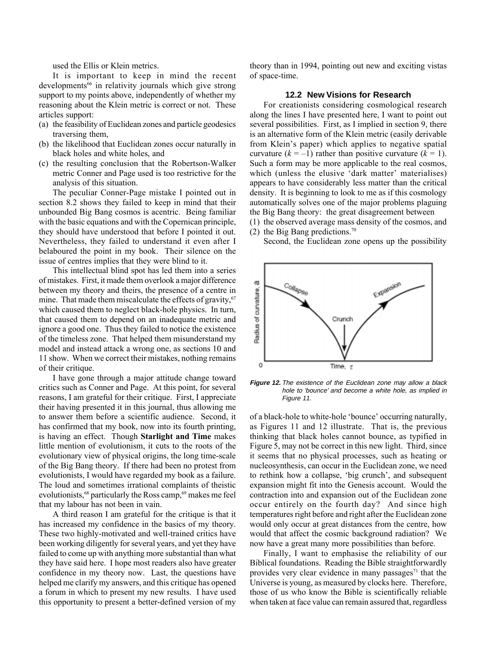used the Ellis or Klein metrics.

It is important to keep in mind the recent developments<sup>66</sup> in relativity journals which give strong support to my points above, independently of whether my reasoning about the Klein metric is correct or not. These articles support:

- (a) the feasibility of Euclidean zones and particle geodesics traversing them,
- (b) the likelihood that Euclidean zones occur naturally in black holes and white holes, and
- (c) the resulting conclusion that the Robertson-Walker metric Conner and Page used is too restrictive for the analysis of this situation.

The peculiar Conner-Page mistake I pointed out in section 8.2 shows they failed to keep in mind that their unbounded Big Bang cosmos is acentric. Being familiar with the basic equations and with the Copernican principle, they should have understood that before I pointed it out. Nevertheless, they failed to understand it even after I belaboured the point in my book. Their silence on the issue of centres implies that they were blind to it.

This intellectual blind spot has led them into a series of mistakes. First, it made them overlook a major difference between my theory and theirs, the presence of a centre in mine. That made them miscalculate the effects of gravity,  $67$ which caused them to neglect black-hole physics. In turn, that caused them to depend on an inadequate metric and ignore a good one. Thus they failed to notice the existence of the timeless zone. That helped them misunderstand my model and instead attack a wrong one, as sections 10 and 11 show. When we correct their mistakes, nothing remains of their critique.

I have gone through a major attitude change toward critics such as Conner and Page. At this point, for several reasons, I am grateful for their critique. First, I appreciate their having presented it in this journal, thus allowing me to answer them before a scientific audience. Second, it has confirmed that my book, now into its fourth printing, is having an effect. Though Starlight and Time makes little mention of evolutionism, it cuts to the roots of the evolutionary view of physical origins, the long time-scale of the Big Bang theory. If there had been no protest from evolutionists, I would have regarded my book as a failure. The loud and sometimes irrational complaints of theistic evolutionists,<sup>68</sup> particularly the Ross camp,<sup>69</sup> makes me feel that my labour has not been in vain.

A third reason I am grateful for the critique is that it has increased my confidence in the basics of my theory. These two highly-motivated and well-trained critics have been working diligently for several years, and yet they have failed to come up with anything more substantial than what they have said here. I hope most readers also have greater confidence in my theory now. Last, the questions have helped me clarify my answers, and this critique has opened a forum in which to present my new results. I have used this opportunity to present a better-defined version of my theory than in 1994, pointing out new and exciting vistas of space-time.

### **12.2 New Visions for Research**

For creationists considering cosmological research along the lines I have presented here, I want to point out several possibilities. First, as I implied in section 9, there is an alternative form of the Klein metric (easily derivable from Klein's paper) which applies to negative spatial curvature  $(k = -1)$  rather than positive curvature  $(k = 1)$ . Such a form may be more applicable to the real cosmos, which (unless the elusive 'dark matter' materialises) appears to have considerably less matter than the critical density. It is beginning to look to me as if this cosmology automatically solves one of the major problems plaguing the Big Bang theory: the great disagreement between

- (1) the observed average mass density of the cosmos, and
- (2) the Big Bang predictions.<sup>70</sup>

Second, the Euclidean zone opens up the possibility



**Figure 12.** The existence of the Euclidean zone may allow a black hole to 'bounce' and become a white hole, as implied in Figure 11.

of a black-hole to white-hole 'bounce' occurring naturally, as Figures 11 and 12 illustrate. That is, the previous thinking that black holes cannot bounce, as typified in Figure 5, may not be correct in this new light. Third, since it seems that no physical processes, such as heating or nucleosynthesis, can occur in the Euclidean zone, we need to rethink how a collapse, 'big crunch', and subsequent expansion might fit into the Genesis account. Would the contraction into and expansion out of the Euclidean zone occur entirely on the fourth day? And since high temperatures right before and right after the Euclidean zone would only occur at great distances from the centre, how would that affect the cosmic background radiation? We now have a great many more possibilities than before.

Finally, I want to emphasise the reliability of our Biblical foundations. Reading the Bible straightforwardly provides very clear evidence in many passages<sup> $71$ </sup> that the Universe is young, as measured by clocks here. Therefore, those of us who know the Bible is scientifically reliable when taken at face value can remain assured that, regardless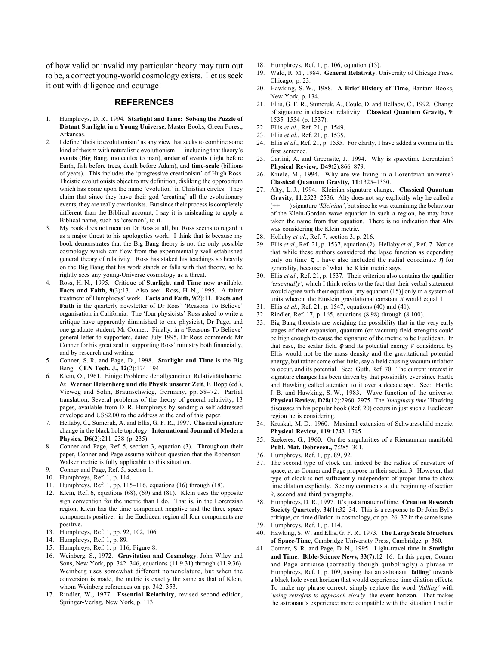of how valid or invalid my particular theory may turn out to be, a correct young-world cosmology exists. Let us seek it out with diligence and courage!

#### **REFERENCES**

- 1. Humphreys, D. R., 1994. Starlight and Time: Solving the Puzzle of Distant Starlight in a Young Universe, Master Books, Green Forest, Arkansas.
- 2. I define 'theistic evolutionism' as any view that seeks to combine some kind of theism with naturalistic evolutionism  $-$  including that theory's events (Big Bang, molecules to man), order of events (light before Earth, fish before trees, death before Adam), and time-scale (billions of years). This includes the 'progressive creationism' of Hugh Ross. Theistic evolutionists object to my definition, disliking the opprobrium which has come upon the name 'evolution' in Christian circles. They claim that since they have their god 'creating' all the evolutionary events, they are really creationists. But since their process is completely different than the Biblical account, I say it is misleading to apply a Biblical name, such as 'creation', to it.
- 3. My book does not mention Dr Ross at all, but Ross seems to regard it as a major threat to his apologetics work. I think that is because my book demonstrates that the Big Bang theory is not the only possible cosmology which can flow from the experimentally well-established general theory of relativity. Ross has staked his teachings so heavily on the Big Bang that his work stands or falls with that theory, so he rightly sees any young-Universe cosmology as a threat.
- 4. Ross, H. N., 1995. Critique of Starlight and Time now available. Facts and Faith, 9(3):13. Also see: Ross, H. N., 1995. A fairer treatment of Humphreys' work. Facts and Faith, 9(2):11. Facts and Faith is the quarterly newsletter of Dr Ross' 'Reasons To Believe' organisation in California. The 'four physicists' Ross asked to write a critique have apparently diminished to one physicist, Dr Page, and one graduate student, Mr Conner. Finally, in a 'Reasons To Believe' general letter to supporters, dated July 1995, Dr Ross commends Mr Conner for his great zeal in supporting Ross' ministry both financially, and by research and writing.
- 5. Conner, S. R. and Page, D., 1998. Starlight and Time is the Big Bang. CEN Tech. J., 12(2):174-194.
- 6. Klein, O., 1961. Einige Probleme der allgemeinen Relativitätstheorie. In: Werner Heisenberg und die Physik unserer Zeit, F. Bopp (ed.), Vieweg and Sohn, Braunschwieg, Germany, pp. 58-72. Partial translation, Several problems of the theory of general relativity, 13 pages, available from D. R. Humphreys by sending a self-addressed envelope and US\$2.00 to the address at the end of this paper.
- 7. Hellaby, C., Sumeruk, A. and Ellis, G. F. R., 1997. Classical signature change in the black hole topology. International Journal of Modern Physics,  $D6(2):211-238$  (p. 235).
- 8. Conner and Page, Ref. 5, section 3, equation (3). Throughout their paper, Conner and Page assume without question that the Robertson-Walker metric is fully applicable to this situation.
- 9. Conner and Page, Ref. 5, section 1.
- 10. Humphreys, Ref. 1, p. 114.
- 11. Humphreys, Ref. 1, pp. 115-116, equations (16) through (18).
- 12. Klein, Ref. 6, equations (68), (69) and (81). Klein uses the opposite sign convention for the metric than I do. That is, in the Lorentzian region, Klein has the time component negative and the three space components positive; in the Euclidean region all four components are positive.
- 13. Humphreys, Ref. 1, pp. 92, 102, 106.
- 14. Humphreys, Ref. 1, p. 89.
- 15. Humphreys, Ref. 1, p. 116, Figure 8.
- 16. Weinberg, S., 1972. Gravitation and Cosmology, John Wiley and Sons, New York, pp. 342–346, equations (11.9.31) through (11.9.36). Weinberg uses somewhat different nomenclature, but when the conversion is made, the metric is exactly the same as that of Klein, whom Weinberg references on pp. 342, 353.
- 17. Rindler, W., 1977. Essential Relativity, revised second edition, Springer-Verlag, New York, p. 113.
- 18. Humphreys, Ref. 1, p. 106, equation (13).
- Wald, R. M., 1984. General Relativity, University of Chicago Press, Chicago, p. 23.
- 20. Hawking, S. W., 1988. A Brief History of Time, Bantam Books, New York, p. 134.
- 21. Ellis, G. F. R., Sumeruk, A., Coule, D. and Hellaby, C., 1992. Change of signature in classical relativity. Classical Quantum Gravity, 9: 1535-1554 (p. 1537).
- 22. Ellis et al., Ref. 21, p. 1549.
- 23. Ellis et al., Ref. 21, p. 1535.
- 24. Ellis et al., Ref. 21, p. 1535. For clarity, I have added a comma in the first sentence.
- 25. Carlini, A. and Greensite, J., 1994. Why is spacetime Lorentzian? Physical Review, D49(2):866-879.
- Kriele, M., 1994. Why are we living in a Lorentzian universe? Classical Quantum Gravity, 11:1325-1330.
- 27. Alty, L. J., 1994. Kleinian signature change. Classical Quantum Gravity, 11:2523-2536. Alty does not say explicitly why he called a  $(++ -)$  signature 'Kleinian', but since he was examining the behaviour of the Klein-Gordon wave equation in such a region, he may have taken the name from that equation. There is no indication that Alty was considering the Klein metric.
- 28. Hellaby et al., Ref. 7, section 3, p. 216.
- 29. Ellis et al., Ref. 21, p. 1537, equation (2). Hellaby et al., Ref. 7. Notice that while these authors considered the lapse function as depending only on time  $\tau$ , I have also included the radial coordinate  $\eta$  for generality, because of what the Klein metric says.
- 30. Ellis et al., Ref. 21, p. 1537. Their criterion also contains the qualifier 'essentially', which I think refers to the fact that their verbal statement would agree with their equation [my equation (15)] only in a system of units wherein the Einstein gravitational constant  $\kappa$  would equal 1.
- 31. Ellis et al., Ref. 21, p. 1547, equations (40) and (41).
- 32. Rindler, Ref. 17, p. 165, equations (8.98) through (8.100).
- Big Bang theorists are weighing the possibility that in the very early stages of their expansion, quantum (or vacuum) field strengths could be high enough to cause the signature of the metric to be Euclidean. In that case, the scalar field  $\varphi$  and its potential energy V considered by Ellis would not be the mass density and the gravitational potential energy, but rather some other field, say a field causing vacuum inflation to occur, and its potential. See: Guth, Ref. 70. The current interest in signature changes has been driven by that possibility ever since Hartle and Hawking called attention to it over a decade ago. See: Hartle, J. B. and Hawking, S. W., 1983. Wave function of the universe. **Physical Review, D28**(12):2960–2975. The *'imaginary time'* Hawking discusses in his popular book (Ref. 20) occurs in just such a Euclidean region he is considering.
- 34. Kruskal, M. D., 1960. Maximal extension of Schwarzschild metric. Physical Review, 119:1743-1745.
- 35. Szekeres, G., 1960. On the singularities of a Riemannian manifold. Publ. Mat. Debrecen., 7:285-301.
- 36. Humphreys, Ref. 1, pp. 89, 92.
- 37. The second type of clock can indeed be the radius of curvature of space,  $a$ , as Conner and Page propose in their section 3. However, that type of clock is not sufficiently independent of proper time to show time dilation explicitly. See my comments at the beginning of section 9, second and third paragraphs.
- 38. Humphreys, D. R., 1997. It's just a matter of time. Creation Research Society Quarterly,  $34(1)$ :  $32-34$ . This is a response to Dr John Byl's critique, on time dilation in cosmology, on pp. 26–32 in the same issue.
- 39. Humphreys, Ref. 1, p. 114.
- 40. Hawking, S. W. and Ellis, G. F. R., 1973. The Large Scale Structure of Space-Time, Cambridge University Press, Cambridge, p. 360.
- Conner, S. R. and Page, D. N., 1995. Light-travel time in Starlight and Time. Bible-Science News,  $33(7)$ :12-16. In this paper, Conner and Page criticise (correctly though quibblingly) a phrase in Humphreys, Ref. 1, p. 109, saying that an astronaut 'falling' towards a black hole event horizon that would experience time dilation effects. To make my phrase correct, simply replace the word 'falling' with 'using retrojets to approach slowly' the event horizon. That makes the astronaut's experience more compatible with the situation I had in